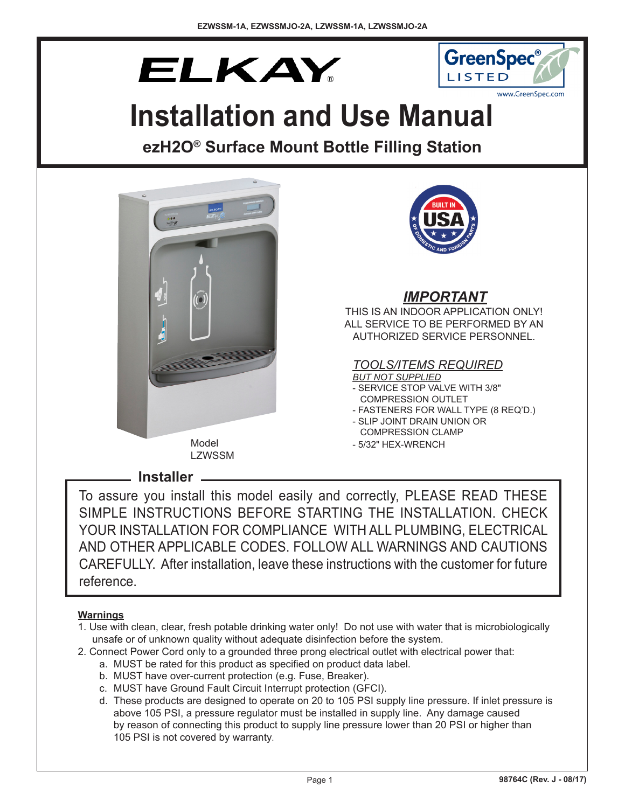



# **Installation and Use Manual**

**ezH2O® Surface Mount Bottle Filling Station**





# *IMPORTANT*

THIS IS AN INDOOR APPLICATION ONLY! ALL SERVICE TO BE PERFORMED BY AN AUTHORIZED SERVICE PERSONNEL.

## *TOOLS/ITEMS REQUIRED*

*BUT NOT SUPPLIED*

- SERVICE STOP VALVE WITH 3/8" COMPRESSION OUTLET
- FASTENERS FOR WALL TYPE (8 REQ'D.)
- SLIP JOINT DRAIN UNION OR COMPRESSION CLAMP
- 5/32" HEX-WRENCH

## **Installer**

To assure you install this model easily and correctly, PLEASE READ THESE SIMPLE INSTRUCTIONS BEFORE STARTING THE INSTALLATION. CHECK YOUR INSTALLATION FOR COMPLIANCE WITH ALL PLUMBING, ELECTRICAL AND OTHER APPLICABLE CODES. FOLLOW ALL WARNINGS AND CAUTIONS CAREFULLY. After installation, leave these instructions with the customer for future reference.

## **Warnings**

1. Use with clean, clear, fresh potable drinking water only! Do not use with water that is microbiologically unsafe or of unknown quality without adequate disinfection before the system.

- 2. Connect Power Cord only to a grounded three prong electrical outlet with electrical power that:
	- a. MUST be rated for this product as specified on product data label.
	- b. MUST have over-current protection (e.g. Fuse, Breaker).
	- c. MUST have Ground Fault Circuit Interrupt protection (GFCI).
	- d. These products are designed to operate on 20 to 105 PSI supply line pressure. If inlet pressure is above 105 PSI, a pressure regulator must be installed in supply line. Any damage caused by reason of connecting this product to supply line pressure lower than 20 PSI or higher than 105 PSI is not covered by warranty.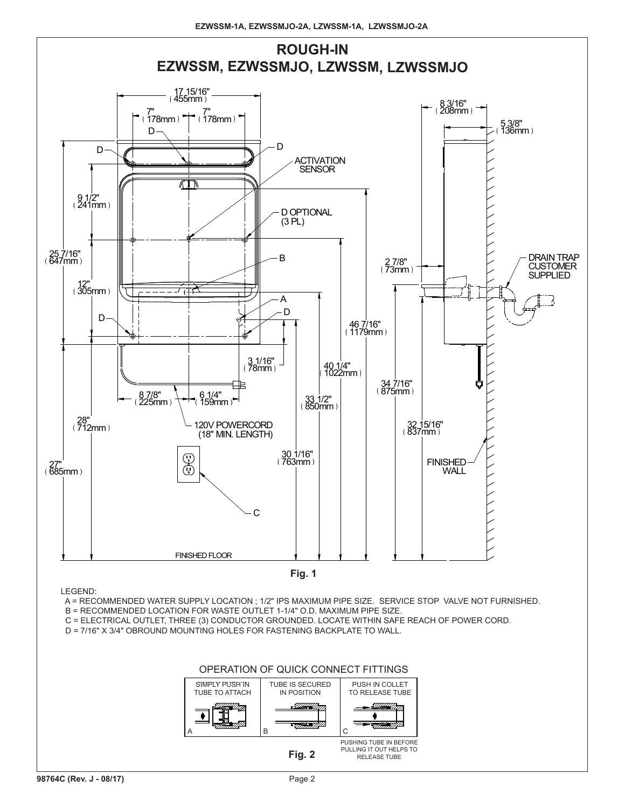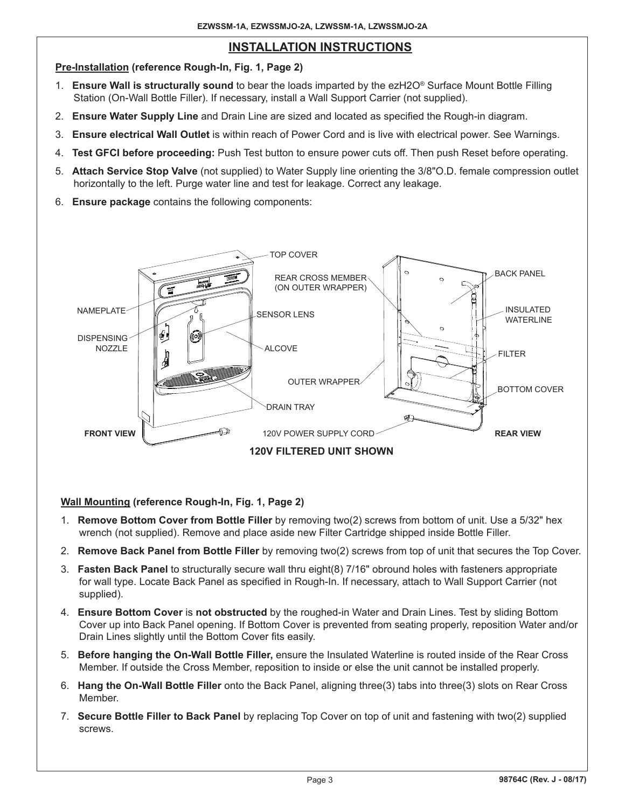## **INSTALLATION INSTRUCTIONS**

**Pre-Installation (reference Rough-In, Fig. 1, Page 2)**

- 1. **Ensure Wall is structurally sound** to bear the loads imparted by the ezH2O® Surface Mount Bottle Filling Station (On-Wall Bottle Filler). If necessary, install a Wall Support Carrier (not supplied).
- 2. **Ensure Water Supply Line** and Drain Line are sized and located as specified the Rough-in diagram.
- 3. **Ensure electrical Wall Outlet** is within reach of Power Cord and is live with electrical power. See Warnings.
- 4. **Test GFCI before proceeding:** Push Test button to ensure power cuts off. Then push Reset before operating.
- 5. **Attach Service Stop Valve** (not supplied) to Water Supply line orienting the 3/8"O.D. female compression outlet horizontally to the left. Purge water line and test for leakage. Correct any leakage.
- 6. **Ensure package** contains the following components:



#### **Wall Mounting (reference Rough-In, Fig. 1, Page 2)**

- 1. **Remove Bottom Cover from Bottle Filler** by removing two(2) screws from bottom of unit. Use a 5/32" hex wrench (not supplied). Remove and place aside new Filter Cartridge shipped inside Bottle Filler.
- 2. **Remove Back Panel from Bottle Filler** by removing two(2) screws from top of unit that secures the Top Cover.
- 3. **Fasten Back Panel** to structurally secure wall thru eight(8) 7/16" obround holes with fasteners appropriate for wall type. Locate Back Panel as specified in Rough-In. If necessary, attach to Wall Support Carrier (not supplied).
- 4. **Ensure Bottom Cover** is **not obstructed** by the roughed-in Water and Drain Lines. Test by sliding Bottom Cover up into Back Panel opening. If Bottom Cover is prevented from seating properly, reposition Water and/or Drain Lines slightly until the Bottom Cover fits easily.
- 5. **Before hanging the On-Wall Bottle Filler,** ensure the Insulated Waterline is routed inside of the Rear Cross Member. If outside the Cross Member, reposition to inside or else the unit cannot be installed properly.
- 6. **Hang the On-Wall Bottle Filler** onto the Back Panel, aligning three(3) tabs into three(3) slots on Rear Cross Member.
- 7. **Secure Bottle Filler to Back Panel** by replacing Top Cover on top of unit and fastening with two(2) supplied screws.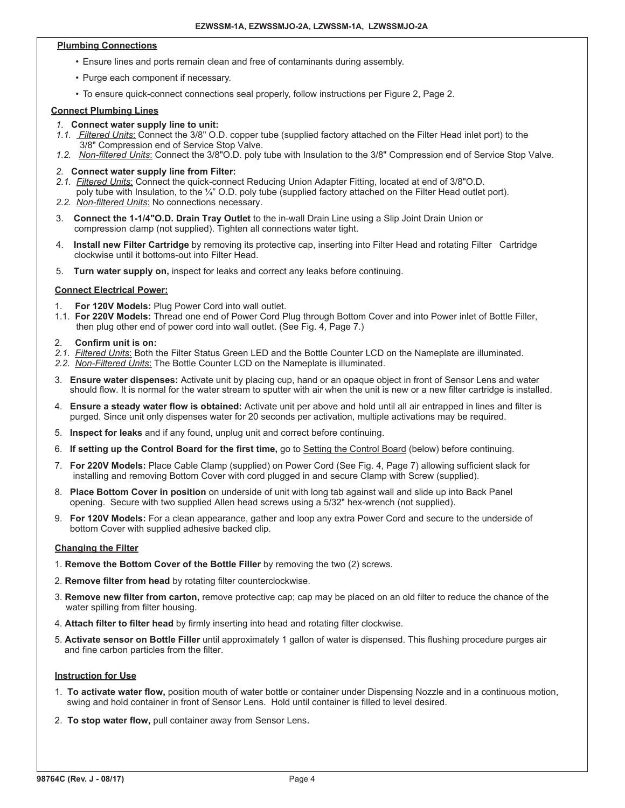#### **Plumbing Connections**

- Ensure lines and ports remain clean and free of contaminants during assembly.
- Purge each component if necessary.
- To ensure quick-connect connections seal properly, follow instructions per Figure 2, Page 2.

#### **Connect Plumbing Lines**

#### *1.* **Connect water supply line to unit:**

- *1.1. Filtered Units*: Connect the 3/8" O.D. copper tube (supplied factory attached on the Filter Head inlet port) to the 3/8" Compression end of Service Stop Valve.
- *1.2. Non-filtered Units*: Connect the 3/8"O.D. poly tube with Insulation to the 3/8" Compression end of Service Stop Valve.

#### *2.* **Connect water supply line from Filter:**

- *2.1. Filtered Units*: Connect the quick-connect Reducing Union Adapter Fitting, located at end of 3/8"O.D. poly tube with Insulation, to the  $\frac{1}{4}$ " O.D. poly tube (supplied factory attached on the Filter Head outlet port).
- *2.2. Non-filtered Units*: No connections necessary.
- 3. **Connect the 1-1/4"O.D. Drain Tray Outlet** to the in-wall Drain Line using a Slip Joint Drain Union or compression clamp (not supplied). Tighten all connections water tight.
- 4. **Install new Filter Cartridge** by removing its protective cap, inserting into Filter Head and rotating Filter Cartridge clockwise until it bottoms-out into Filter Head.
- 5. **Turn water supply on,** inspect for leaks and correct any leaks before continuing.

#### **Connect Electrical Power:**

- 1. **For 120V Models:** Plug Power Cord into wall outlet.
- 1.1. **For 220V Models:** Thread one end of Power Cord Plug through Bottom Cover and into Power inlet of Bottle Filler, then plug other end of power cord into wall outlet. (See Fig. 4, Page 7.)
- 2. **Confirm unit is on:**
- *2.1. Filtered Units*: Both the Filter Status Green LED and the Bottle Counter LCD on the Nameplate are illuminated.
- *2.2. Non-Filtered Units*: The Bottle Counter LCD on the Nameplate is illuminated.
- 3. **Ensure water dispenses:** Activate unit by placing cup, hand or an opaque object in front of Sensor Lens and water should flow. It is normal for the water stream to sputter with air when the unit is new or a new filter cartridge is installed.
- 4. **Ensure a steady water flow is obtained:** Activate unit per above and hold until all air entrapped in lines and filter is purged. Since unit only dispenses water for 20 seconds per activation, multiple activations may be required.
- 5. **Inspect for leaks** and if any found, unplug unit and correct before continuing.
- 6. **If setting up the Control Board for the first time,** go to Setting the Control Board (below) before continuing.
- 7. **For 220V Models:** Place Cable Clamp (supplied) on Power Cord (See Fig. 4, Page 7) allowing sufficient slack for installing and removing Bottom Cover with cord plugged in and secure Clamp with Screw (supplied).
- 8. **Place Bottom Cover in position** on underside of unit with long tab against wall and slide up into Back Panel opening. Secure with two supplied Allen head screws using a 5/32" hex-wrench (not supplied).
- 9. **For 120V Models:** For a clean appearance, gather and loop any extra Power Cord and secure to the underside of bottom Cover with supplied adhesive backed clip.

#### **Changing the Filter**

- 1. **Remove the Bottom Cover of the Bottle Filler** by removing the two (2) screws.
- 2. **Remove filter from head** by rotating filter counterclockwise.
- 3. **Remove new filter from carton,** remove protective cap; cap may be placed on an old filter to reduce the chance of the water spilling from filter housing.
- 4. **Attach filter to filter head** by firmly inserting into head and rotating filter clockwise.
- 5. **Activate sensor on Bottle Filler** until approximately 1 gallon of water is dispensed. This flushing procedure purges air and fine carbon particles from the filter.

#### **Instruction for Use**

- 1. **To activate water flow,** position mouth of water bottle or container under Dispensing Nozzle and in a continuous motion, swing and hold container in front of Sensor Lens. Hold until container is filled to level desired.
- 2. **To stop water flow,** pull container away from Sensor Lens.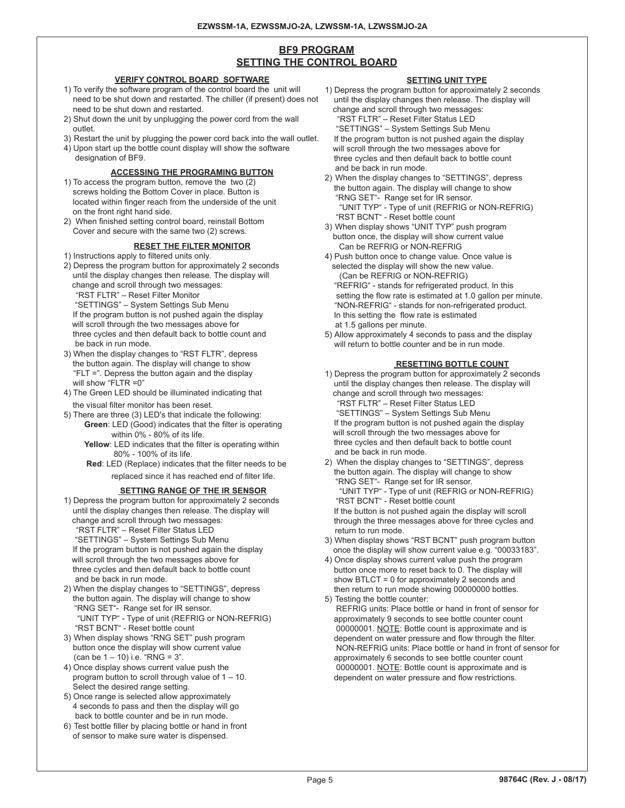#### **BF9 PROGRAM SETTING THE CONTROL BOARD**

#### **VERIFY CONTROL BOARD SOFTWARE**

- 1) To verify the software program of the control board the unit will need to be shut down and restarted. The chiller (if present) does not need to be shut down and restarted.
- 2) Shut down the unit by unplugging the power cord from the wall outlet.
- 3) Restart the unit by plugging the power cord back into the wall outlet.
- 4) Upon start up the bottle count display will show the software designation of BF9.

#### **ACCESSING THE PROGRAMING BUTTON**

- 1) To access the program button, remove the two (2) screws holding the Bottom Cover in place. Button is located within finger reach from the underside of the unit on the front right hand side.
- 2) When finished setting control board, reinstall Bottom Cover and secure with the same two (2) screws.

#### **RESET THE FILTER MONITOR**

- 1) Instructions apply to filtered units only.
- 2) Depress the program button for approximately 2 seconds until the display changes then release. The display will change and scroll through two messages: "RST FLTR" – Reset Filter Monitor

 "SETTINGS" – System Settings Sub Menu If the program button is not pushed again the display will scroll through the two messages above for three cycles and then default back to bottle count and be back in run mode.

- 3) When the display changes to "RST FLTR", depress the button again. The display will change to show "FLT =". Depress the button again and the display will show "FLTR =0"
- 4) The Green LED should be illuminated indicating that the visual filter monitor has been reset.
- 5) There are three (3) LED's that indicate the following:
	- **Green**: LED (Good) indicates that the filter is operating within 0% - 80% of its life.
		- **Yellow**: LED indicates that the filter is operating within 80% - 100% of its life.
		- **Red**: LED (Replace) indicates that the filter needs to be replaced since it has reached end of filter life.

#### **SETTING RANGE OF THE IR SENSOR**

- 1) Depress the program button for approximately 2 seconds until the display changes then release. The display will change and scroll through two messages: "RST FLTR" – Reset Filter Status LED "SETTINGS" – System Settings Sub Menu If the program button is not pushed again the display will scroll through the two messages above for three cycles and then default back to bottle count and be back in run mode.
- 2) When the display changes to "SETTINGS", depress the button again. The display will change to show "RNG SET"- Range set for IR sensor. "UNIT TYP" - Type of unit (REFRIG or NON-REFRIG) "RST BCNT" - Reset bottle count
- 3) When display shows "RNG SET" push program button once the display will show current value (can be  $1 - 10$ ) i.e. "RNG =  $3$ ".
- 4) Once display shows current value push the program button to scroll through value of 1 – 10. Select the desired range setting.
- 5) Once range is selected allow approximately 4 seconds to pass and then the display will go back to bottle counter and be in run mode.
- 6) Test bottle filler by placing bottle or hand in front of sensor to make sure water is dispensed.

#### **SETTING UNIT TYPE**

- 1) Depress the program button for approximately 2 seconds until the display changes then release. The display will change and scroll through two messages: "RST FLTR" – Reset Filter Status LED "SETTINGS" – System Settings Sub Menu If the program button is not pushed again the display will scroll through the two messages above for three cycles and then default back to bottle count and be back in run mode.
- 2) When the display changes to "SETTINGS", depress the button again. The display will change to show "RNG SET"- Range set for IR sensor. "UNIT TYP" - Type of unit (REFRIG or NON-REFRIG) "RST BCNT" - Reset bottle count
- 3) When display shows "UNIT TYP" push program button once, the display will show current value Can be REFRIG or NON-REFRIG
- 4) Push button once to change value. Once value is selected the display will show the new value. (Can be REFRIG or NON-REFRIG) "REFRIG" - stands for refrigerated product. In this setting the flow rate is estimated at 1.0 gallon per minute. "NON-REFRIG" - stands for non-refrigerated product. In this setting the flow rate is estimated at 1.5 gallons per minute.
- 5) Allow approximately 4 seconds to pass and the display will return to bottle counter and be in run mode.

#### **RESETTING BOTTLE COUNT**

- 1) Depress the program button for approximately 2 seconds until the display changes then release. The display will change and scroll through two messages: "RST FLTR" – Reset Filter Status LED "SETTINGS" – System Settings Sub Menu If the program button is not pushed again the display will scroll through the two messages above for three cycles and then default back to bottle count and be back in run mode.
- 2) When the display changes to "SETTINGS", depress the button again. The display will change to show "RNG SET"- Range set for IR sensor. "UNIT TYP" - Type of unit (REFRIG or NON-REFRIG) "RST BCNT" - Reset bottle count If the button is not pushed again the display will scroll through the three messages above for three cycles and return to run mode.
- 3) When display shows "RST BCNT" push program button once the display will show current value e.g. "00033183".
- 4) Once display shows current value push the program button once more to reset back to 0. The display will show BTLCT = 0 for approximately 2 seconds and then return to run mode showing 00000000 bottles.
- 5) Testing the bottle counter: REFRIG units: Place bottle or hand in front of sensor for approximately 9 seconds to see bottle counter count 00000001. NOTE: Bottle count is approximate and is dependent on water pressure and flow through the filter. NON-REFRIG units: Place bottle or hand in front of sensor for approximately 6 seconds to see bottle counter count 00000001. NOTE: Bottle count is approximate and is dependent on water pressure and flow restrictions.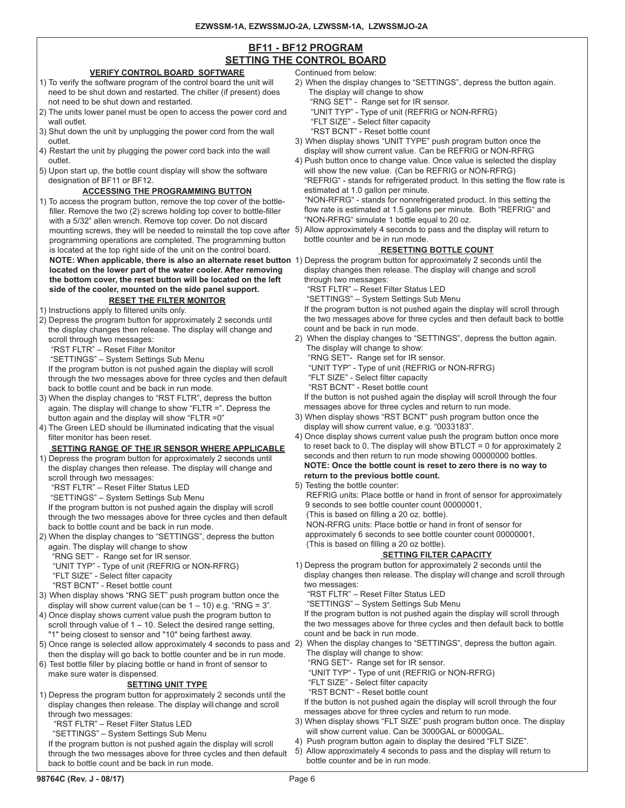### **BF11 - BF12 PROGRAM SETTING THE CONTROL BOARD**

#### **VERIFY CONTROL BOARD SOFTWARE**

- 1) To verify the software program of the control board the unit will need to be shut down and restarted. The chiller (if present) does not need to be shut down and restarted.
- 2) The units lower panel must be open to access the power cord and wall outlet.
- 3) Shut down the unit by unplugging the power cord from the wall outlet.
- 4) Restart the unit by plugging the power cord back into the wall outlet.
- 5) Upon start up, the bottle count display will show the software designation of BF11 or BF12.

#### **ACCESSING THE PROGRAMMING BUTTON**

1) To access the program button, remove the top cover of the bottle- filler. Remove the two (2) screws holding top cover to bottle-filler with a 5/32" allen wrench. Remove top cover. Do not discard programming operations are completed. The programming button is located at the top right side of the unit on the control board. **NOTE: When applicable, there is also an alternate reset button 1)** Depress the program button for approximately 2 seconds until the **located on the lower part of the water cooler. After removing the bottom cover, the reset button will be located on the left side of the cooler, mounted on the side panel support.**

#### **RESET THE FILTER MONITOR**

- 1) Instructions apply to filtered units only.
- 2) Depress the program button for approximately 2 seconds until the display changes then release. The display will change and scroll through two messages:
	- "RST FLTR" Reset Filter Monitor

"SETTINGS" – System Settings Sub Menu

 If the program button is not pushed again the display will scroll through the two messages above for three cycles and then default back to bottle count and be back in run mode.

- 3) When the display changes to "RST FLTR", depress the button again. The display will change to show "FLTR =". Depress the button again and the display will show "FLTR =0"
- 4) The Green LED should be illuminated indicating that the visual filter monitor has been reset.

#### **SETTING RANGE OF THE IR SENSOR WHERE APPLICABLE**

- 1) Depress the program button for approximately 2 seconds until the display changes then release. The display will change and scroll through two messages:
	- "RST FLTR" Reset Filter Status LED
	- "SETTINGS" System Settings Sub Menu
	- If the program button is not pushed again the display will scroll through the two messages above for three cycles and then default back to bottle count and be back in run mode.
- 2) When the display changes to "SETTINGS", depress the button
	- again. The display will change to show
	- "RNG SET" Range set for IR sensor.
	- "UNIT TYP" Type of unit (REFRIG or NON-RFRG)
	- "FLT SIZE" Select filter capacity
	- "RST BCNT" Reset bottle count
- 3) When display shows "RNG SET" push program button once the display will show current value (can be  $1 - 10$ ) e.g. "RNG = 3".
- 4) Once display shows current value push the program button to scroll through value of  $1 - 10$ . Select the desired range setting, "1" being closest to sensor and "10" being farthest away.
- then the display will go back to bottle counter and be in run mode.
- 6) Test bottle filler by placing bottle or hand in front of sensor to make sure water is dispensed.

#### **SETTING UNIT TYPE**

- 1) Depress the program button for approximately 2 seconds until the display changes then release. The display will change and scroll through two messages:
	- "RST FLTR" Reset Filter Status LED
	- "SETTINGS" System Settings Sub Menu

 If the program button is not pushed again the display will scroll through the two messages above for three cycles and then default back to bottle count and be back in run mode.

- 2) When the display changes to "SETTINGS", depress the button again. The display will change to show
	- "RNG SET" Range set for IR sensor.
	- "UNIT TYP" Type of unit (REFRIG or NON-RFRG)
	- "FLT SIZE" Select filter capacity
	- "RST BCNT" Reset bottle count
- 3) When display shows "UNIT TYPE" push program button once the display will show current value. Can be REFRIG or NON-RFRG
- 4) Push button once to change value. Once value is selected the display will show the new value. (Can be REFRIG or NON-RFRG) "REFRIG" - stands for refrigerated product. In this setting the flow rate is estimated at 1.0 gallon per minute.
- "NON-RFRG" stands for nonrefrigerated product. In this setting the flow rate is estimated at 1.5 gallons per minute. Both "REFRIG" and "NON-RFRG" simulate 1 bottle equal to 20 oz.
- mounting screws, they will be needed to reinstall the top cove after 5) Allow approximately 4 seconds to pass and the display will return to bottle counter and be in run mode.

#### **RESETTING BOTTLE COUNT**

 display changes then release. The display will change and scroll through two messages:

- "RST FLTR" Reset Filter Status LED
- "SETTINGS" System Settings Sub Menu
- If the program button is not pushed again the display will scroll through the two messages above for three cycles and then default back to bottle count and be back in run mode.
- 2) When the display changes to "SETTINGS", depress the button again. The display will change to show:
	- "RNG SET"- Range set for IR sensor.
	- "UNIT TYP" Type of unit (REFRIG or NON-RFRG)
	- "FLT SIZE" Select filter capacity
	- "RST BCNT" Reset bottle count
	- If the button is not pushed again the display will scroll through the four messages above for three cycles and return to run mode.
- 3) When display shows "RST BCNT" push program button once the display will show current value, e.g. "0033183".
- 4) Once display shows current value push the program button once more to reset back to 0. The display will show BTLCT = 0 for approximately 2 seconds and then return to run mode showing 00000000 bottles. **NOTE: Once the bottle count is reset to zero there is no way to return to the previous bottle count.**
- 5) Testing the bottle counter:

 REFRIG units: Place bottle or hand in front of sensor for approximately 9 seconds to see bottle counter count 00000001,

- (This is based on filling a 20 oz. bottle).
- NON-RFRG units: Place bottle or hand in front of sensor for
- approximately 6 seconds to see bottle counter count 00000001, (This is based on filling a 20 oz bottle).

#### **SETTING FILTER CAPACITY**

1) Depress the program button for approximately 2 seconds until the display changes then release. The display will change and scroll through two messages:

- "RST FLTR" Reset Filter Status LED
- "SETTINGS" System Settings Sub Menu

 If the program button is not pushed again the display will scroll through the two messages above for three cycles and then default back to bottle count and be back in run mode.

5) Once range is selected allow approximately 4 seconds to pass and 2) When the display changes to "SETTINGS", depress the button again.

The display will change to show:

- "RNG SET"- Range set for IR sensor.
- "UNIT TYP" Type of unit (REFRIG or NON-RFRG)
- "FLT SIZE" Select filter capacity
- "RST BCNT" Reset bottle count

 If the button is not pushed again the display will scroll through the four messages above for three cycles and return to run mode.

- 3) When display shows "FLT SIZE" push program button once. The display will show current value. Can be 3000GAL or 6000GAL.
- 4) Push program button again to display the desired "FLT SIZE".
- 5) Allow approximately 4 seconds to pass and the display will return to bottle counter and be in run mode.